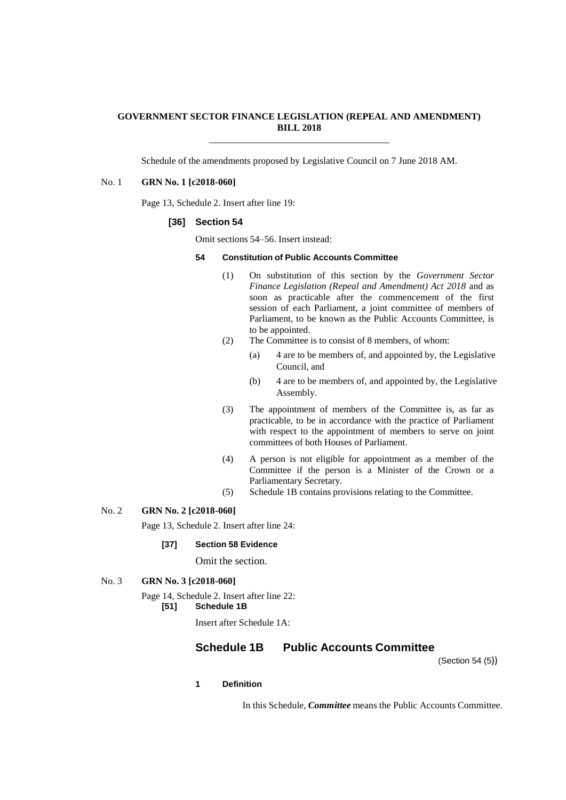### **GOVERNMENT SECTOR FINANCE LEGISLATION (REPEAL AND AMENDMENT) BILL 2018** \_\_\_\_\_\_\_\_\_\_\_\_\_\_\_\_\_\_\_\_\_\_\_\_\_\_\_\_\_\_\_\_\_\_\_\_\_\_

Schedule of the amendments proposed by Legislative Council on 7 June 2018 AM.

### No. 1 **GRN No. 1 [c2018-060]**

Page 13, Schedule 2. Insert after line 19:

### **[36] Section 54**

Omit sections 54–56. Insert instead:

# **54 Constitution of Public Accounts Committee**

- (1) On substitution of this section by the *Government Sector Finance Legislation (Repeal and Amendment) Act 2018* and as soon as practicable after the commencement of the first session of each Parliament, a joint committee of members of Parliament, to be known as the Public Accounts Committee, is to be appointed.
- (2) The Committee is to consist of 8 members, of whom:
	- (a) 4 are to be members of, and appointed by, the Legislative Council, and
	- (b) 4 are to be members of, and appointed by, the Legislative Assembly.
- (3) The appointment of members of the Committee is, as far as practicable, to be in accordance with the practice of Parliament with respect to the appointment of members to serve on joint committees of both Houses of Parliament.
- (4) A person is not eligible for appointment as a member of the Committee if the person is a Minister of the Crown or a Parliamentary Secretary.
- (5) Schedule 1B contains provisions relating to the Committee.

#### No. 2 **GRN No. 2 [c2018-060]**

Page 13, Schedule 2. Insert after line 24:

#### **[37] Section 58 Evidence**

Omit the section.

# No. 3 **GRN No. 3 [c2018-060]**

Page 14, Schedule 2. Insert after line 22: **[51] Schedule 1B**

Insert after Schedule 1A:

# **Schedule 1B Public Accounts Committee**

(Section 54 (5))

# **1 Definition**

In this Schedule, *Committee* means the Public Accounts Committee.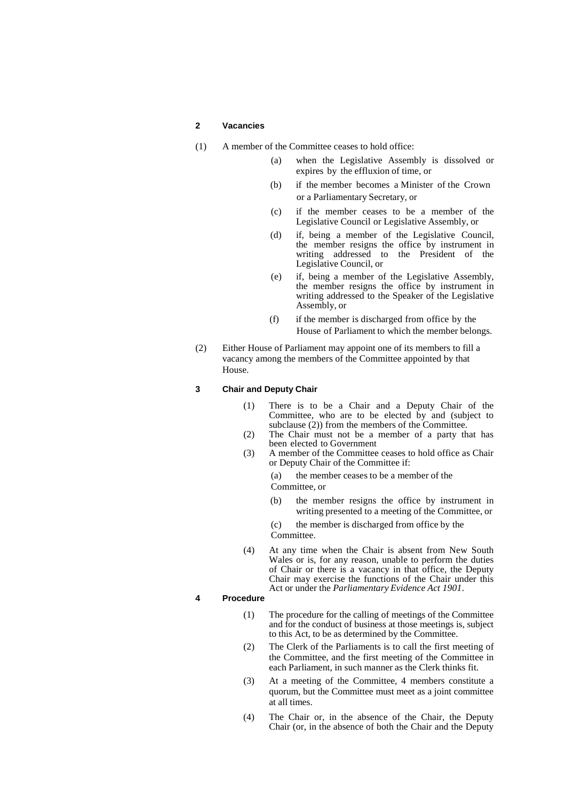#### **2 Vacancies**

- (1) A member of the Committee ceases to hold office:
	- (a) when the Legislative Assembly is dissolved or expires by the effluxion of time, or
	- (b) if the member becomes a Minister of the Crown or a Parliamentary Secretary, or
	- (c) if the member ceases to be a member of the Legislative Council or Legislative Assembly, or
	- (d) if, being a member of the Legislative Council, the member resigns the office by instrument in writing addressed to the President of the Legislative Council, or
	- (e) if, being a member of the Legislative Assembly, the member resigns the office by instrument in writing addressed to the Speaker of the Legislative Assembly, or
	- (f) if the member is discharged from office by the House of Parliament to which the member belongs.
- (2) Either House of Parliament may appoint one of its members to fill a vacancy among the members of the Committee appointed by that House.

# **3 Chair and Deputy Chair**

- (1) There is to be a Chair and a Deputy Chair of the Committee, who are to be elected by and (subject to subclause (2)) from the members of the Committee.
- (2) The Chair must not be a member of a party that has been elected to Government
- (3) A member of the Committee ceases to hold office as Chair or Deputy Chair of the Committee if:

(a) the member ceases to be a member of the Committee, or

- (b) the member resigns the office by instrument in writing presented to a meeting of the Committee, or
- (c) the member is discharged from office by the Committee.
- (4) At any time when the Chair is absent from New South Wales or is, for any reason, unable to perform the duties of Chair or there is a vacancy in that office, the Deputy Chair may exercise the functions of the Chair under this Act or under the *Parliamentary Evidence Act 1901*.

## **4 Procedure**

- (1) The procedure for the calling of meetings of the Committee and for the conduct of business at those meetings is, subject to this Act, to be as determined by the Committee.
- (2) The Clerk of the Parliaments is to call the first meeting of the Committee, and the first meeting of the Committee in each Parliament, in such manner as the Clerk thinks fit.
- (3) At a meeting of the Committee, 4 members constitute a quorum, but the Committee must meet as a joint committee at all times.
- (4) The Chair or, in the absence of the Chair, the Deputy Chair (or, in the absence of both the Chair and the Deputy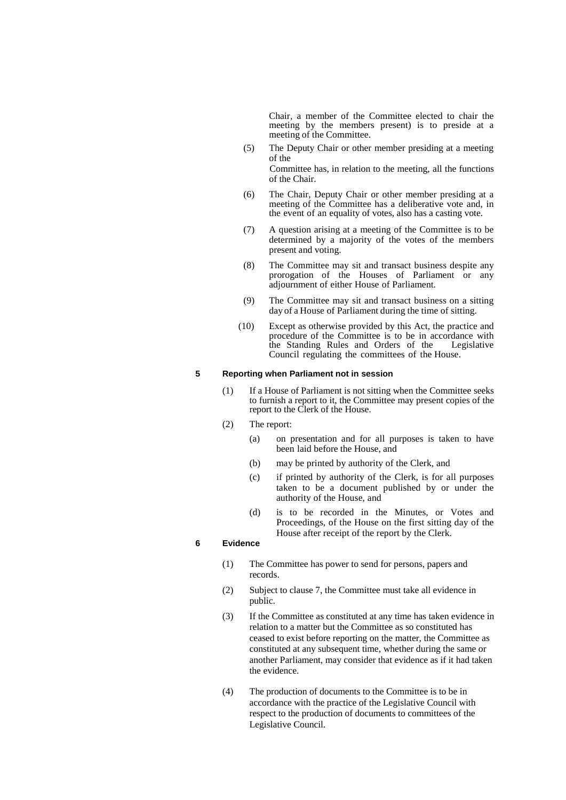Chair, a member of the Committee elected to chair the meeting by the members present) is to preside at a meeting of the Committee.

- (5) The Deputy Chair or other member presiding at a meeting of the Committee has, in relation to the meeting, all the functions of the Chair.
- (6) The Chair, Deputy Chair or other member presiding at a meeting of the Committee has a deliberative vote and, in the event of an equality of votes, also has a casting vote.
- (7) A question arising at a meeting of the Committee is to be determined by a majority of the votes of the members present and voting.
- (8) The Committee may sit and transact business despite any prorogation of the Houses of Parliament or any adjournment of either House of Parliament.
- (9) The Committee may sit and transact business on a sitting day of a House of Parliament during the time of sitting.
- (10) Except as otherwise provided by this Act, the practice and procedure of the Committee is to be in accordance with the Standing Rules and Orders of the Legislative Council regulating the committees of the House.

### **5 Reporting when Parliament not in session**

- (1) If a House of Parliament is not sitting when the Committee seeks to furnish a report to it, the Committee may present copies of the report to the Clerk of the House.
- (2) The report:
	- (a) on presentation and for all purposes is taken to have been laid before the House, and
	- (b) may be printed by authority of the Clerk, and
	- (c) if printed by authority of the Clerk, is for all purposes taken to be a document published by or under the authority of the House, and
	- (d) is to be recorded in the Minutes, or Votes and Proceedings, of the House on the first sitting day of the House after receipt of the report by the Clerk.

### **6 Evidence**

- (1) The Committee has power to send for persons, papers and records.
- (2) Subject to clause 7, the Committee must take all evidence in public.
- (3) If the Committee as constituted at any time has taken evidence in relation to a matter but the Committee as so constituted has ceased to exist before reporting on the matter, the Committee as constituted at any subsequent time, whether during the same or another Parliament, may consider that evidence as if it had taken the evidence.
- (4) The production of documents to the Committee is to be in accordance with the practice of the Legislative Council with respect to the production of documents to committees of the Legislative Council.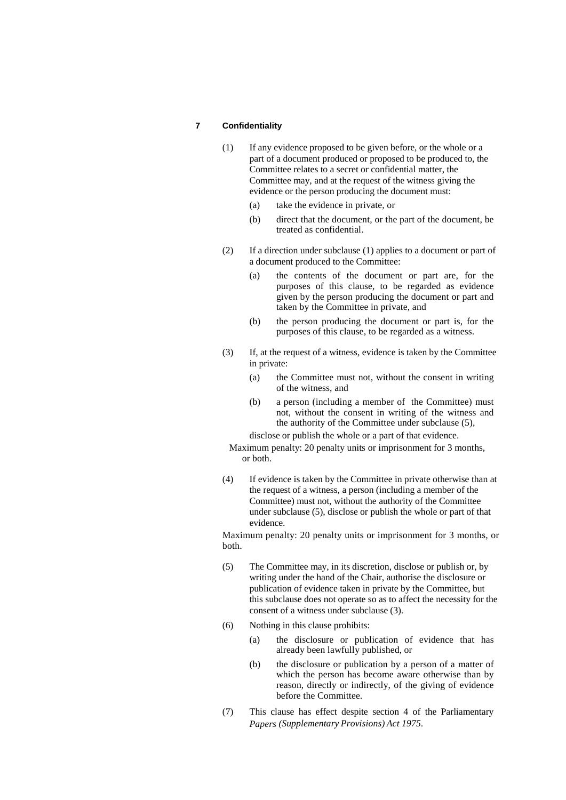### **7 Confidentiality**

- (1) If any evidence proposed to be given before, or the whole or a part of a document produced or proposed to be produced to, the Committee relates to a secret or confidential matter, the Committee may, and at the request of the witness giving the evidence or the person producing the document must:
	- (a) take the evidence in private, or
	- (b) direct that the document, or the part of the document, be treated as confidential.
- (2) If a direction under subclause (1) applies to a document or part of a document produced to the Committee:
	- (a) the contents of the document or part are, for the purposes of this clause, to be regarded as evidence given by the person producing the document or part and taken by the Committee in private, and
	- (b) the person producing the document or part is, for the purposes of this clause, to be regarded as a witness.
- (3) If, at the request of a witness, evidence is taken by the Committee in private:
	- (a) the Committee must not, without the consent in writing of the witness, and
	- (b) a person (including a member of the Committee) must not, without the consent in writing of the witness and the authority of the Committee under subclause (5),

disclose or publish the whole or a part of that evidence.

Maximum penalty: 20 penalty units or imprisonment for 3 months, or both.

(4) If evidence is taken by the Committee in private otherwise than at the request of a witness, a person (including a member of the Committee) must not, without the authority of the Committee under subclause (5), disclose or publish the whole or part of that evidence.

Maximum penalty: 20 penalty units or imprisonment for 3 months, or both.

- (5) The Committee may, in its discretion, disclose or publish or, by writing under the hand of the Chair, authorise the disclosure or publication of evidence taken in private by the Committee, but this subclause does not operate so as to affect the necessity for the consent of a witness under subclause (3).
- (6) Nothing in this clause prohibits:
	- (a) the disclosure or publication of evidence that has already been lawfully published, or
	- (b) the disclosure or publication by a person of a matter of which the person has become aware otherwise than by reason, directly or indirectly, of the giving of evidence before the Committee.
- (7) This clause has effect despite section 4 of the Parliamentary *Papers (Supplementary Provisions) Act 1975*.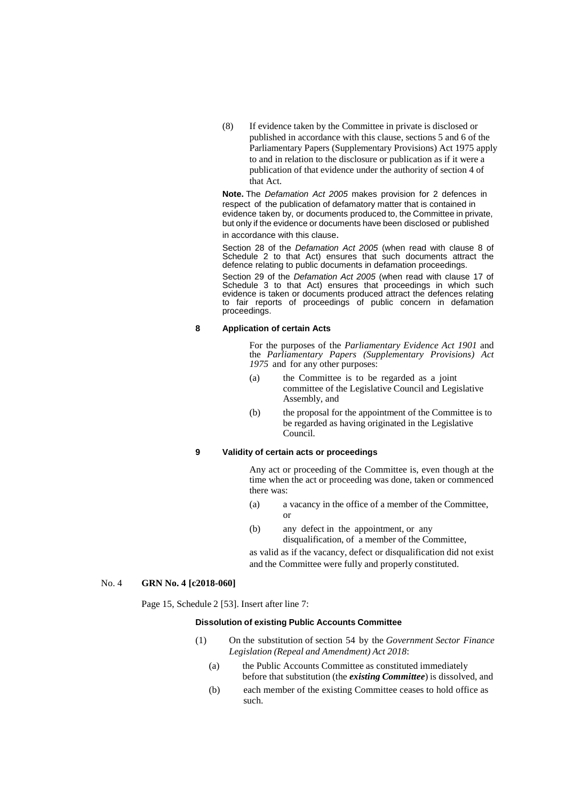(8) If evidence taken by the Committee in private is disclosed or published in accordance with this clause, sections 5 and 6 of the Parliamentary Papers (Supplementary Provisions) Act 1975 apply to and in relation to the disclosure or publication as if it were a publication of that evidence under the authority of section 4 of that Act.

**Note.** The *Defamation Act 2005* makes provision for 2 defences in respect of the publication of defamatory matter that is contained in evidence taken by, or documents produced to, the Committee in private, but only if the evidence or documents have been disclosed or published in accordance with this clause.

Section 28 of the *Defamation Act 2005* (when read with clause 8 of Schedule 2 to that Act) ensures that such documents attract the defence relating to public documents in defamation proceedings.

Section 29 of the *Defamation Act 2005* (when read with clause 17 of Schedule 3 to that Act) ensures that proceedings in which such evidence is taken or documents produced attract the defences relating to fair reports of proceedings of public concern in defamation proceedings.

### **8 Application of certain Acts**

For the purposes of the *Parliamentary Evidence Act 1901* and the *Parliamentary Papers (Supplementary Provisions) Act 1975* and for any other purposes:

- (a) the Committee is to be regarded as a joint committee of the Legislative Council and Legislative Assembly, and
- (b) the proposal for the appointment of the Committee is to be regarded as having originated in the Legislative Council.

### **9 Validity of certain acts or proceedings**

Any act or proceeding of the Committee is, even though at the time when the act or proceeding was done, taken or commenced there was:

- (a) a vacancy in the office of a member of the Committee, or
- (b) any defect in the appointment, or any disqualification, of a member of the Committee,

as valid as if the vacancy, defect or disqualification did not exist and the Committee were fully and properly constituted.

#### No. 4 **GRN No. 4 [c2018-060]**

Page 15, Schedule 2 [53]. Insert after line 7:

### **Dissolution of existing Public Accounts Committee**

- (1) On the substitution of section 54 by the *Government Sector Finance Legislation (Repeal and Amendment) Act 2018*:
	- (a) the Public Accounts Committee as constituted immediately before that substitution (the *existing Committee*) is dissolved, and
	- (b) each member of the existing Committee ceases to hold office as such.